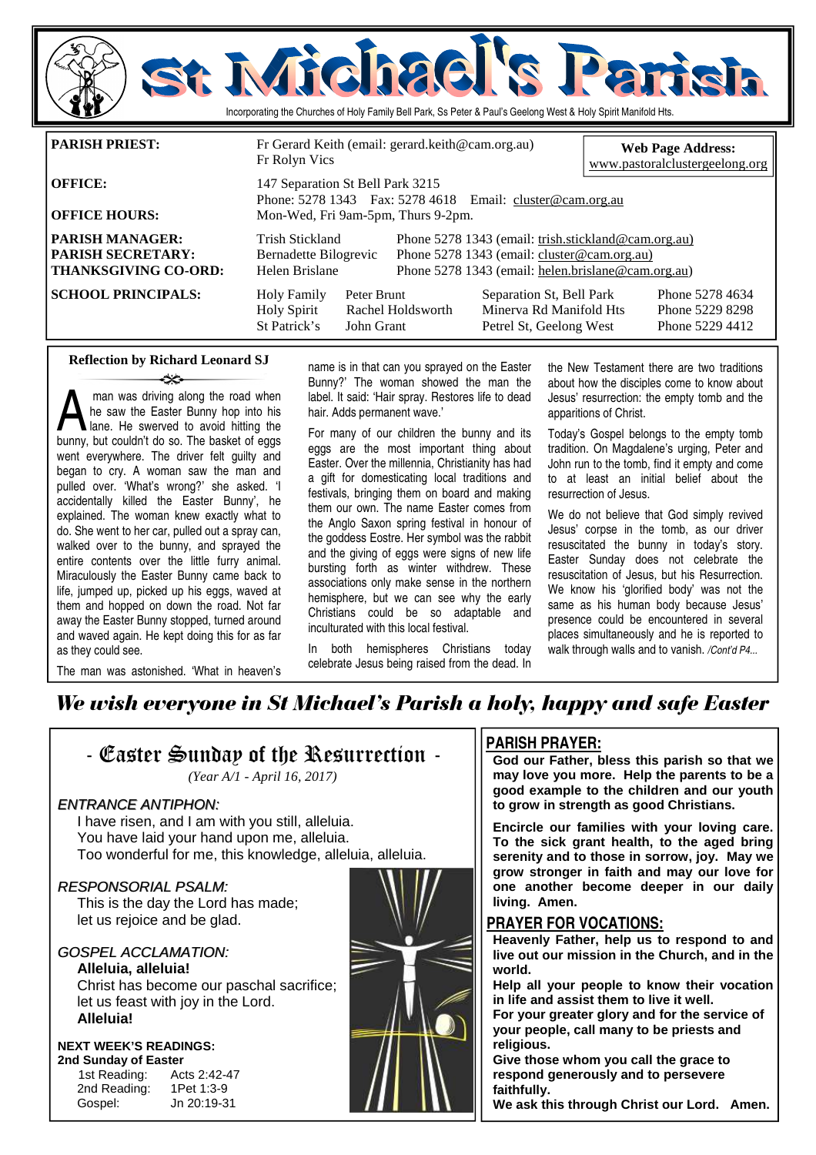

| <b>OFFICE HOURS:</b>                                                              | Mon-Wed, Fri 9am-5pm, Thurs 9-2pm.                         |                           |                                                                                                                                                          |                                                                                |                                                       |
|-----------------------------------------------------------------------------------|------------------------------------------------------------|---------------------------|----------------------------------------------------------------------------------------------------------------------------------------------------------|--------------------------------------------------------------------------------|-------------------------------------------------------|
| <b>PARISH MANAGER:</b><br><b>PARISH SECRETARY:</b><br><b>THANKSGIVING CO-ORD:</b> | Trish Stickland<br>Bernadette Bilogrevic<br>Helen Brislane |                           | Phone 5278 1343 (email: trish.stickland@cam.org.au)<br>Phone 5278 1343 (email: cluster@cam.org.au)<br>Phone 5278 1343 (email: helen.brislane@cam.org.au) |                                                                                |                                                       |
| <b>SCHOOL PRINCIPALS:</b>                                                         | <b>Holy Family</b><br><b>Holy Spirit</b><br>St Patrick's   | Peter Brunt<br>John Grant | Rachel Holdsworth                                                                                                                                        | Separation St, Bell Park<br>Minerva Rd Manifold Hts<br>Petrel St, Geelong West | Phone 5278 4634<br>Phone 5229 8298<br>Phone 5229 4412 |

### **Reflection by Richard Leonard SJ**  ينهد

**A** man was driving along the road when<br>he saw the Easter Bunny hop into his<br>lane. He swerved to avoid hitting the<br>hunny but couldn't do so. The basket of eggs he saw the Easter Bunny hop into his bunny, but couldn't do so. The basket of eggs went everywhere. The driver felt guilty and began to cry. A woman saw the man and pulled over. 'What's wrong?' she asked. 'I accidentally killed the Easter Bunny', he explained. The woman knew exactly what to do. She went to her car, pulled out a spray can, walked over to the bunny, and sprayed the entire contents over the little furry animal. Miraculously the Easter Bunny came back to life, jumped up, picked up his eggs, waved at them and hopped on down the road. Not far away the Easter Bunny stopped, turned around and waved again. He kept doing this for as far as they could see.

The man was astonished. 'What in heaven's

name is in that can you sprayed on the Easter Bunny?' The woman showed the man the label. It said: 'Hair spray. Restores life to dead hair. Adds permanent wave.'

For many of our children the bunny and its eggs are the most important thing about Easter. Over the millennia, Christianity has had a gift for domesticating local traditions and festivals, bringing them on board and making them our own. The name Easter comes from the Anglo Saxon spring festival in honour of the goddess Eostre. Her symbol was the rabbit and the giving of eggs were signs of new life bursting forth as winter withdrew. These associations only make sense in the northern hemisphere, but we can see why the early Christians could be so adaptable and inculturated with this local festival.

In both hemispheres Christians today celebrate Jesus being raised from the dead. In the New Testament there are two traditions about how the disciples come to know about Jesus' resurrection: the empty tomb and the apparitions of Christ.

Today's Gospel belongs to the empty tomb tradition. On Magdalene's urging, Peter and John run to the tomb, find it empty and come to at least an initial belief about the resurrection of Jesus.

We do not believe that God simply revived Jesus' corpse in the tomb, as our driver resuscitated the bunny in today's story. Easter Sunday does not celebrate the resuscitation of Jesus, but his Resurrection. We know his 'glorified body' was not the same as his human body because Jesus' presence could be encountered in several places simultaneously and he is reported to walk through walls and to vanish. */Cont'd P4...* 

# We wish everyone in St Michael's Parish a holy, happy and safe Easter



## **PARISH PRAYER:**

**God our Father, bless this parish so that we may love you more. Help the parents to be a good example to the children and our youth to grow in strength as good Christians.** 

**Encircle our families with your loving care. To the sick grant health, to the aged bring serenity and to those in sorrow, joy. May we grow stronger in faith and may our love for one another become deeper in our daily living. Amen.** 

### **PRAYER FOR VOCATIONS:**

**Heavenly Father, help us to respond to and live out our mission in the Church, and in the world.** 

**Help all your people to know their vocation in life and assist them to live it well.** 

**For your greater glory and for the service of your people, call many to be priests and religious.** 

**Give those whom you call the grace to respond generously and to persevere faithfully.** 

**We ask this through Christ our Lord. Amen.**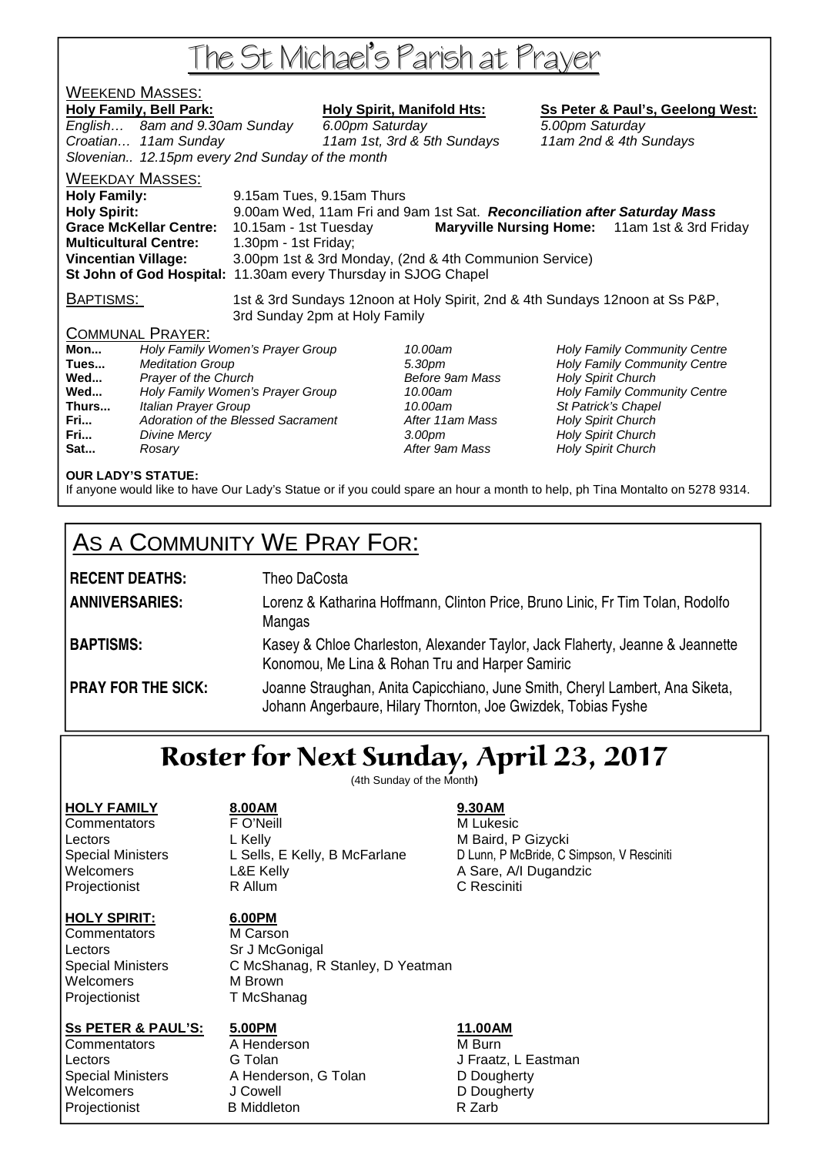# The St Michael's Parish at Prayer

# <u>WEEKEND MASSES:</u>

Holy Family, Bell Park: Holy Spirit, Manifold Hts: Ss Peter & Paul's, Geelong West: English… 8am and 9.30am Sunday 6.00pm Saturday 5.00pm Saturday Croatian… 11am Sunday 11am 1st, 3rd & 5th Sundays 11am 2nd & 4th Sundays Slovenian.. 12.15pm every 2nd Sunday of the month WEEKDAY MASSES: **Holy Family:** 9.15am Tues, 9.15am Thurs **Holy Spirit:** 9.00am Wed, 11am Fri and 9am 1st Sat. **Reconciliation after Saturday Mass** 

**Grace McKellar Centre:** 10.15am - 1st Tuesday **Maryville Nursing Home:** 11am 1st & 3rd Friday **Multicultural Centre:** 1.30pm - 1st Friday; **Vincentian Village:** 3.00pm 1st & 3rd Monday, (2nd & 4th Communion Service) **St John of God Hospital:** 11.30am every Thursday in SJOG Chapel

BAPTISMS: 1st & 3rd Sundays 12noon at Holy Spirit, 2nd & 4th Sundays 12noon at Ss P&P, 3rd Sunday 2pm at Holy Family

## COMMUNAL PRAYER:

**Mon...** Holy Family Women's Prayer Group 10.00am Holy Family Community Centre Meditation Group **Tues... According to the Solution Science Community Centre** 5.30pm **Holy Family Community Centre Wed...** Prayer of the Church **Prayer of the Church Before 9am Mass** Holy Spirit Church Before 9am Mass and Holy Spirit Church Centre Church Centre Church Centre Church Centre Church Spirit Church Centre Church Spirit Cent Wed... **Holy Family Women's Prayer Group** 10.00am **Thurs...** Italian Prayer Group 10.00am St Patrick's Chapel **Fri...** Adoration of the Blessed Sacrament **After 11am Mass** Holy Spirit Church **Fri... Divine Mercy Constant Church 3.00pm** Holy Spirit Church Holy Spirit Church **Sat... Rosary Rosary Reserves After 9am Mass Holy Spirit Church** 

## **OUR LADY'S STATUE:**

If anyone would like to have Our Lady's Statue or if you could spare an hour a month to help, ph Tina Montalto on 5278 9314.

# AS A COMMUNITY WE PRAY FOR:

| <b>RECENT DEATHS:</b>     | Theo DaCosta                                                                                                                                  |
|---------------------------|-----------------------------------------------------------------------------------------------------------------------------------------------|
| <b>ANNIVERSARIES:</b>     | Lorenz & Katharina Hoffmann, Clinton Price, Bruno Linic, Fr Tim Tolan, Rodolfo<br>Mangas                                                      |
| <b>BAPTISMS:</b>          | Kasey & Chloe Charleston, Alexander Taylor, Jack Flaherty, Jeanne & Jeannette<br>Konomou, Me Lina & Rohan Tru and Harper Samiric              |
| <b>PRAY FOR THE SICK:</b> | Joanne Straughan, Anita Capicchiano, June Smith, Cheryl Lambert, Ana Siketa,<br>Johann Angerbaure, Hilary Thornton, Joe Gwizdek, Tobias Fyshe |

# Roster for Next Sunday, April 23, 2017

(4th Sunday of the Month**)** 

## **HOLY FAMILY 8.00AM 9.30AM**

# **HOLY SPIRIT: 6.00PM**

Commentators **FO'Neill FO'Neill** M Lukesic Lectors **L** Kelly **M** Baird, P Gizycki Welcomers **L&E Kelly** A Sare, A/I Dugandzic Projectionist **R** Allum **C Resciniti** 

Special Ministers L Sells, E Kelly, B McFarlane D Lunn, P McBride, C Simpson, V Resciniti

Commentators M Carson Lectors Sr J McGonigal Welcomers M Brown Projectionist T McShanag

Special Ministers C McShanag, R Stanley, D Yeatman

## **Ss PETER & PAUL'S: 5.00PM 11.00AM**

Commentators **A** Henderson **M** Burn Lectors **G Tolan G Tolan** J Fraatz, L Eastman Special Ministers A Henderson, G Tolan D Dougherty Welcomers J Cowell **D** Dougherty Projectionist B Middleton B Middleton R Zarb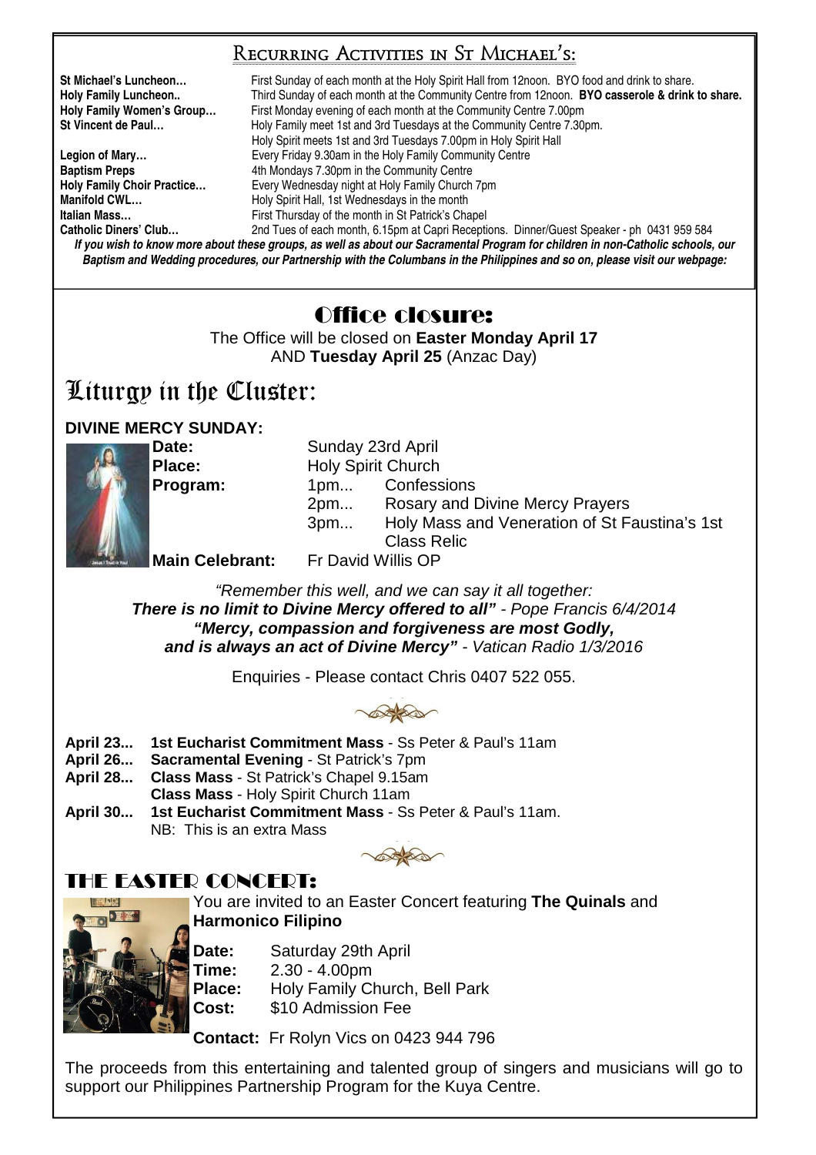# Recurring Activities in St Michael's:

**St Michael's Luncheon…** First Sunday of each month at the Holy Spirit Hall from 12noon. BYO food and drink to share. **Holy Family Luncheon..** Third Sunday of each month at the Community Centre from 12noon. **BYO casserole & drink to share. Holy Family Women's Group…** First Monday evening of each month at the Community Centre 7.00pm **St Vincent de Paul…** Holy Family meet 1st and 3rd Tuesdays at the Community Centre 7.30pm. Holy Spirit meets 1st and 3rd Tuesdays 7.00pm in Holy Spirit Hall Legion of Mary... **Exery Friday 9.30am in the Holy Family Community Centre Baptism Preps** 4th Mondays 7.30pm in the Community Centre **Holy Family Chair Practice...** Every Wednesday night at Holy Family Church **Holy Family Choir Practice…** Every Wednesday night at Holy Family Church 7pm **Manifold CWL... Holy Spirit Hall, 1st Wednesdays in the month Italian Mass... First Thursday of the month in St Patrick's Chapel Catholic Diners' Club…** 2nd Tues of each month, 6.15pm at Capri Receptions. Dinner/Guest Speaker - ph 0431 959 584

**If you wish to know more about these groups, as well as about our Sacramental Program for children in non-Catholic schools, our Baptism and Wedding procedures, our Partnership with the Columbans in the Philippines and so on, please visit our webpage:** 

# Office closure:

The Office will be closed on **Easter Monday April 17** AND **Tuesday April 25** (Anzac Day)

# Liturgy in the Cluster:

# **DIVINE MERCY SUNDAY:**



**Date:** Sunday 23rd April **Place: Holy Spirit Church Program:** 1pm... Confessions 2pm... Rosary and Divine Mercy Prayers 3pm... Holy Mass and Veneration of St Faustina's 1st Class Relic **Main Celebrant:** Fr David Willis OP

"Remember this well, and we can say it all together: **There is no limit to Divine Mercy offered to all"** - Pope Francis 6/4/2014 **"Mercy, compassion and forgiveness are most Godly, and is always an act of Divine Mercy"** - Vatican Radio 1/3/2016

Enquiries - Please contact Chris 0407 522 055.



- **April 23... 1st Eucharist Commitment Mass** Ss Peter & Paul's 11am
- **April 26... Sacramental Evening** St Patrick's 7pm
- **April 28... Class Mass** St Patrick's Chapel 9.15am
- **Class Mass** Holy Spirit Church 11am
- **April 30... 1st Eucharist Commitment Mass** Ss Peter & Paul's 11am. NB: This is an extra Mass

# THE EASTED CONCEDT:

You are invited to an Easter Concert featuring **The Quinals** and **Harmonico Filipino**



**Date:** Saturday 29th April **Time:** 2.30 - 4.00pm **Place:** Holy Family Church, Bell Park **Cost:** \$10 Admission Fee

**Contact:** Fr Rolyn Vics on 0423 944 796

The proceeds from this entertaining and talented group of singers and musicians will go to support our Philippines Partnership Program for the Kuya Centre.